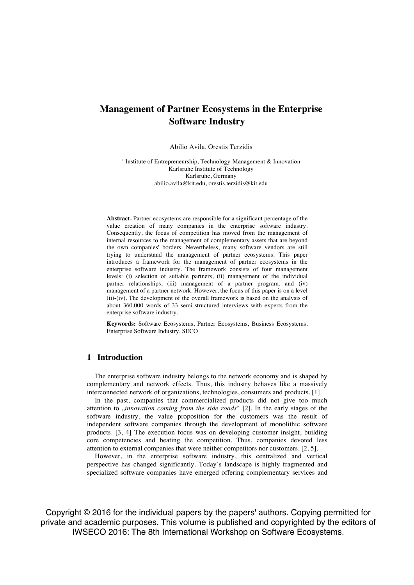# **Management of Partner Ecosystems in the Enterprise Software Industry**

Abilio Avila, Orestis Terzidis

<sup>1</sup> Institute of Entrepreneurship, Technology-Management & Innovation Karlsruhe Institute of Technology Karlsruhe, Germany abilio.avila@kit.edu, orestis.terzidis@kit.edu

**Abstract.** Partner ecosystems are responsible for a significant percentage of the value creation of many companies in the enterprise software industry. Consequently, the focus of competition has moved from the management of internal resources to the management of complementary assets that are beyond the own companies' borders. Nevertheless, many software vendors are still trying to understand the management of partner ecosystems. This paper introduces a framework for the management of partner ecosystems in the enterprise software industry. The framework consists of four management levels: (i) selection of suitable partners, (ii) management of the individual partner relationships, (iii) management of a partner program, and (iv) management of a partner network. However, the focus of this paper is on a level (ii)-(iv). The development of the overall framework is based on the analysis of about 360.000 words of 33 semi-structured interviews with experts from the enterprise software industry.

**Keywords:** Software Ecosystems, Partner Ecosystems, Business Ecosystems, Enterprise Software Industry, SECO

# **1 Introduction**

The enterprise software industry belongs to the network economy and is shaped by complementary and network effects. Thus, this industry behaves like a massively interconnected network of organizations, technologies, consumers and products. [1].

In the past, companies that commercialized products did not give too much attention to *"innovation coming from the side roads*" [2]. In the early stages of the software industry, the value proposition for the customers was the result of independent software companies through the development of monolithic software products. [3, 4] The execution focus was on developing customer insight, building core competencies and beating the competition. Thus, companies devoted less attention to external companies that were neither competitors nor customers. [2, 5].

However, in the enterprise software industry, this centralized and vertical perspective has changed significantly. Today`s landscape is highly fragmented and specialized software companies have emerged offering complementary services and

Copyright © 2016 for the individual papers by the papers' authors. Copying permitted for private and academic purposes. This volume is published and copyrighted by the editors of IWSECO 2016: The 8th International Workshop on Software Ecosystems.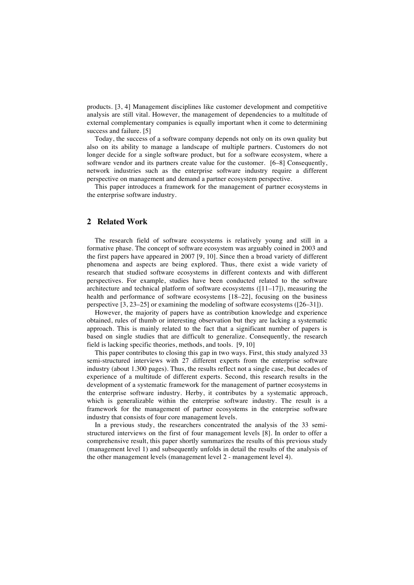products. [3, 4] Management disciplines like customer development and competitive analysis are still vital. However, the management of dependencies to a multitude of external complementary companies is equally important when it come to determining success and failure. [5]

Today, the success of a software company depends not only on its own quality but also on its ability to manage a landscape of multiple partners. Customers do not longer decide for a single software product, but for a software ecosystem, where a software vendor and its partners create value for the customer. [6–8] Consequently, network industries such as the enterprise software industry require a different perspective on management and demand a partner ecosystem perspective.

This paper introduces a framework for the management of partner ecosystems in the enterprise software industry.

# **2 Related Work**

The research field of software ecosystems is relatively young and still in a formative phase. The concept of software ecosystem was arguably coined in 2003 and the first papers have appeared in 2007 [9, 10]. Since then a broad variety of different phenomena and aspects are being explored. Thus, there exist a wide variety of research that studied software ecosystems in different contexts and with different perspectives. For example, studies have been conducted related to the software architecture and technical platform of software ecosystems  $(11-17)$ , measuring the health and performance of software ecosystems [18–22], focusing on the business perspective [3, 23–25] or examining the modeling of software ecosystems ([26–31]).

However, the majority of papers have as contribution knowledge and experience obtained, rules of thumb or interesting observation but they are lacking a systematic approach. This is mainly related to the fact that a significant number of papers is based on single studies that are difficult to generalize. Consequently, the research field is lacking specific theories, methods, and tools. [9, 10]

This paper contributes to closing this gap in two ways. First, this study analyzed 33 semi-structured interviews with 27 different experts from the enterprise software industry (about 1.300 pages). Thus, the results reflect not a single case, but decades of experience of a multitude of different experts. Second, this research results in the development of a systematic framework for the management of partner ecosystems in the enterprise software industry. Herby, it contributes by a systematic approach, which is generalizable within the enterprise software industry. The result is a framework for the management of partner ecosystems in the enterprise software industry that consists of four core management levels.

In a previous study, the researchers concentrated the analysis of the 33 semistructured interviews on the first of four management levels [8]. In order to offer a comprehensive result, this paper shortly summarizes the results of this previous study (management level 1) and subsequently unfolds in detail the results of the analysis of the other management levels (management level 2 - management level 4).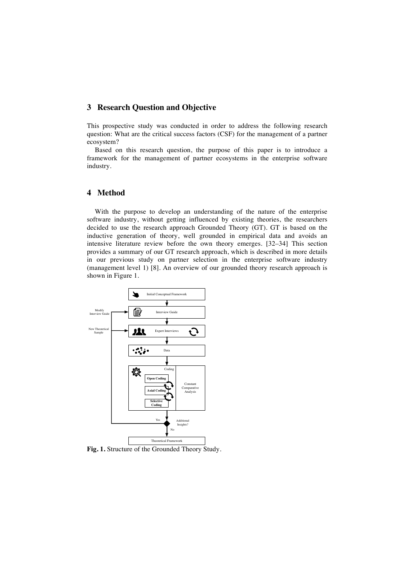# **3 Research Question and Objective**

This prospective study was conducted in order to address the following research question: What are the critical success factors (CSF) for the management of a partner ecosystem?

Based on this research question, the purpose of this paper is to introduce a framework for the management of partner ecosystems in the enterprise software industry.

# **4 Method**

With the purpose to develop an understanding of the nature of the enterprise software industry, without getting influenced by existing theories, the researchers decided to use the research approach Grounded Theory (GT). GT is based on the inductive generation of theory, well grounded in empirical data and avoids an intensive literature review before the own theory emerges. [32–34] This section provides a summary of our GT research approach, which is described in more details in our previous study on partner selection in the enterprise software industry (management level 1) [8]. An overview of our grounded theory research approach is shown in Figure 1.



**Fig. 1.** Structure of the Grounded Theory Study.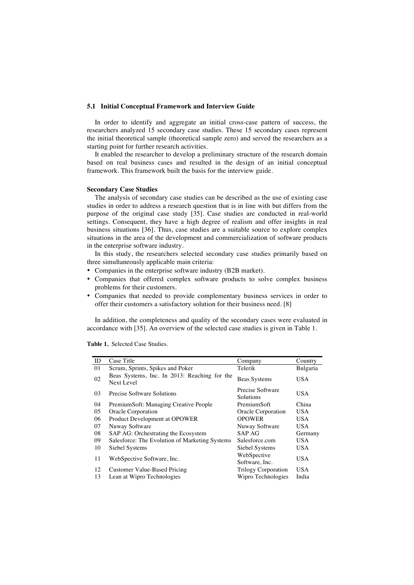#### **5.1 Initial Conceptual Framework and Interview Guide**

In order to identify and aggregate an initial cross-case pattern of success, the researchers analyzed 15 secondary case studies. These 15 secondary cases represent the initial theoretical sample (theoretical sample zero) and served the researchers as a starting point for further research activities.

It enabled the researcher to develop a preliminary structure of the research domain based on real business cases and resulted in the design of an initial conceptual framework. This framework built the basis for the interview guide.

#### **Secondary Case Studies**

The analysis of secondary case studies can be described as the use of existing case studies in order to address a research question that is in line with but differs from the purpose of the original case study [35]. Case studies are conducted in real-world settings. Consequent, they have a high degree of realism and offer insights in real business situations [36]. Thus, case studies are a suitable source to explore complex situations in the area of the development and commercialization of software products in the enterprise software industry.

In this study, the researchers selected secondary case studies primarily based on three simultaneously applicable main criteria:

- Companies in the enterprise software industry (B2B market).
- Companies that offered complex software products to solve complex business problems for their customers.
- Companies that needed to provide complementary business services in order to offer their customers a satisfactory solution for their business need. [8]

In addition, the completeness and quality of the secondary cases were evaluated in accordance with [35]. An overview of the selected case studies is given in Table 1.

**Table 1.** Selected Case Studies.

| ID | Case Title                                                 | Company                       | Country    |
|----|------------------------------------------------------------|-------------------------------|------------|
| 01 | Scrum, Sprints, Spikes and Poker                           | Telerik                       | Bulgaria   |
| 02 | Beas Systems, Inc. In 2013: Reaching for the<br>Next Level | <b>Beas Systems</b>           | <b>USA</b> |
| 03 | Precise Software Solutions                                 | Precise Software<br>Solutions | <b>USA</b> |
| 04 | PremiumSoft: Managing Creative People                      | PremiumSoft                   | China      |
| 05 | Oracle Corporation                                         | Oracle Corporation            | <b>USA</b> |
| 06 | Product Development at OPOWER                              | <b>OPOWER</b>                 | <b>USA</b> |
| 07 | Nuway Software                                             | Nuway Software                | <b>USA</b> |
| 08 | SAP AG: Orchestrating the Ecosystem                        | SAP AG                        | Germany    |
| 09 | Salesforce: The Evolution of Marketing Systems             | Salesforce.com                | <b>USA</b> |
| 10 | Siebel Systems                                             | Siebel Systems                | <b>USA</b> |
| 11 | WebSpective Software, Inc.                                 | WebSpective<br>Software, Inc. | <b>USA</b> |
| 12 | Customer Value-Based Pricing                               | <b>Trilogy Corporation</b>    | USA.       |
| 13 | Lean at Wipro Technologies                                 | Wipro Technologies            | India      |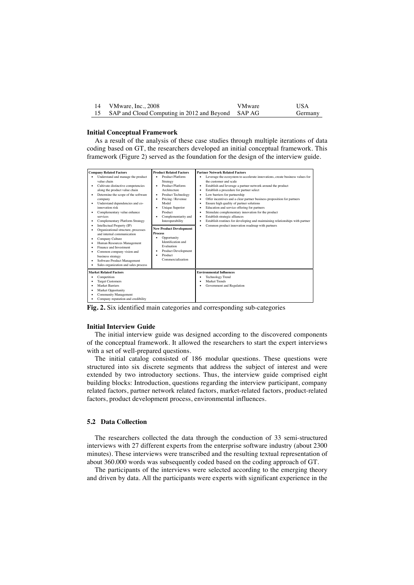| VMware, Inc., 2008                                | <b>VMware</b> | USA     |
|---------------------------------------------------|---------------|---------|
| SAP and Cloud Computing in 2012 and Beyond SAP AG |               | Germany |

### **Initial Conceptual Framework**

As a result of the analysis of these case studies through multiple iterations of data coding based on GT, the researchers developed an initial conceptual framework. This framework (Figure 2) served as the foundation for the design of the interview guide.

| <b>Company Related Factors</b><br>Understand and manage the product<br>value chain<br>Cultivate distinctive competencies<br>along the product value chain<br>Determine the scope of the software<br>company<br>Understand dependencies and co-<br>innovation risk<br>Complementary value enhance<br>services<br>Complementary Platform Strategy<br>Intellectual Property (IP)<br>Organizational structure, processes<br>and internal communication<br>Company Culture<br>Human Resources Management<br>Finance and Investment<br>Common company vision and<br>business strategy<br>Software Product Management<br>Sales organization and sales process | <b>Product Related Factors</b><br>Product Platform<br>Strategy<br><b>Product Platform</b><br>Architecture<br><b>Product Technology</b><br>Pricing / Revenue<br>Model<br><b>Unique Superior</b><br>Product<br>Complementarity and<br>Interoperability<br><b>New Product Development</b><br><b>Process</b><br>Opportunity<br>Identification and<br>Evaluation<br><b>Product Development</b><br>Product<br>Commercialization | <b>Partner Network Related Factors</b><br>Leverage the ecosystem to accelerate innovations, create business values for<br>the customer and scale<br>Establish and leverage a partner network around the product<br>٠<br>Establish a procedure for partner select<br>٠<br>Low barriers for partnership<br>٠<br>Offer incentives and a clear partner business proposition for partners<br>٠<br>Ensure high quality of partner solutions<br>Education and service offering for partners<br>٠<br>Stimulate complementary innovation for the product<br>٠<br>Establish strategic alliances<br>٠<br>Establish routines for developing and maintaining relationships with partner<br>Common product innovation roadmap with partners |
|--------------------------------------------------------------------------------------------------------------------------------------------------------------------------------------------------------------------------------------------------------------------------------------------------------------------------------------------------------------------------------------------------------------------------------------------------------------------------------------------------------------------------------------------------------------------------------------------------------------------------------------------------------|---------------------------------------------------------------------------------------------------------------------------------------------------------------------------------------------------------------------------------------------------------------------------------------------------------------------------------------------------------------------------------------------------------------------------|-------------------------------------------------------------------------------------------------------------------------------------------------------------------------------------------------------------------------------------------------------------------------------------------------------------------------------------------------------------------------------------------------------------------------------------------------------------------------------------------------------------------------------------------------------------------------------------------------------------------------------------------------------------------------------------------------------------------------------|
| <b>Market Related Factors</b><br>Competition<br><b>Target Customers</b><br><b>Market Barriers</b><br><b>Market Opportunity</b><br><b>Community Management</b><br>Company reputation and credibility                                                                                                                                                                                                                                                                                                                                                                                                                                                    |                                                                                                                                                                                                                                                                                                                                                                                                                           | <b>Environmental Influences</b><br><b>Technology Trend</b><br>Market Trends<br>Government and Regulation                                                                                                                                                                                                                                                                                                                                                                                                                                                                                                                                                                                                                      |

**Fig. 2.** Six identified main categories and corresponding sub-categories

#### **Initial Interview Guide**

The initial interview guide was designed according to the discovered components of the conceptual framework. It allowed the researchers to start the expert interviews with a set of well-prepared questions.

The initial catalog consisted of 186 modular questions. These questions were structured into six discrete segments that address the subject of interest and were extended by two introductory sections. Thus, the interview guide comprised eight building blocks: Introduction, questions regarding the interview participant, company related factors, partner network related factors, market-related factors, product-related factors, product development process, environmental influences.

### **5.2 Data Collection**

The researchers collected the data through the conduction of 33 semi-structured interviews with 27 different experts from the enterprise software industry (about 2300 minutes). These interviews were transcribed and the resulting textual representation of about 360.000 words was subsequently coded based on the coding approach of GT.

The participants of the interviews were selected according to the emerging theory and driven by data. All the participants were experts with significant experience in the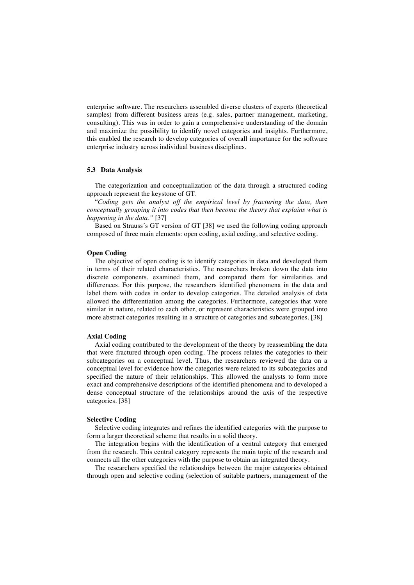enterprise software. The researchers assembled diverse clusters of experts (theoretical samples) from different business areas (e.g. sales, partner management, marketing, consulting). This was in order to gain a comprehensive understanding of the domain and maximize the possibility to identify novel categories and insights. Furthermore, this enabled the research to develop categories of overall importance for the software enterprise industry across individual business disciplines.

# **5.3 Data Analysis**

The categorization and conceptualization of the data through a structured coding approach represent the keystone of GT.

"*Coding gets the analyst off the empirical level by fracturing the data, then conceptually grouping it into codes that then become the theory that explains what is happening in the data."* [37]

Based on Strauss´s GT version of GT [38] we used the following coding approach composed of three main elements: open coding, axial coding, and selective coding.

#### **Open Coding**

The objective of open coding is to identify categories in data and developed them in terms of their related characteristics. The researchers broken down the data into discrete components, examined them, and compared them for similarities and differences. For this purpose, the researchers identified phenomena in the data and label them with codes in order to develop categories. The detailed analysis of data allowed the differentiation among the categories. Furthermore, categories that were similar in nature, related to each other, or represent characteristics were grouped into more abstract categories resulting in a structure of categories and subcategories. [38]

#### **Axial Coding**

Axial coding contributed to the development of the theory by reassembling the data that were fractured through open coding. The process relates the categories to their subcategories on a conceptual level. Thus, the researchers reviewed the data on a conceptual level for evidence how the categories were related to its subcategories and specified the nature of their relationships. This allowed the analysts to form more exact and comprehensive descriptions of the identified phenomena and to developed a dense conceptual structure of the relationships around the axis of the respective categories. [38]

#### **Selective Coding**

Selective coding integrates and refines the identified categories with the purpose to form a larger theoretical scheme that results in a solid theory.

The integration begins with the identification of a central category that emerged from the research. This central category represents the main topic of the research and connects all the other categories with the purpose to obtain an integrated theory.

The researchers specified the relationships between the major categories obtained through open and selective coding (selection of suitable partners, management of the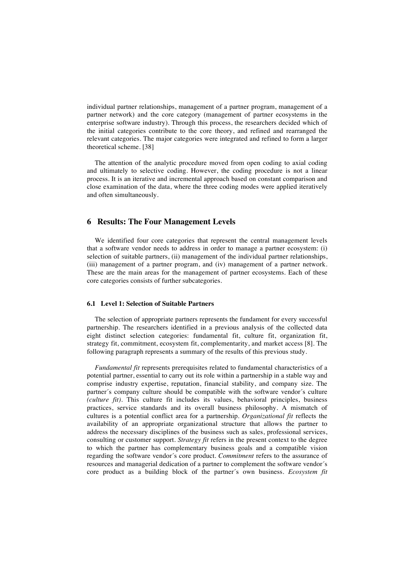individual partner relationships, management of a partner program, management of a partner network) and the core category (management of partner ecosystems in the enterprise software industry). Through this process, the researchers decided which of the initial categories contribute to the core theory, and refined and rearranged the relevant categories. The major categories were integrated and refined to form a larger theoretical scheme. [38]

The attention of the analytic procedure moved from open coding to axial coding and ultimately to selective coding. However, the coding procedure is not a linear process. It is an iterative and incremental approach based on constant comparison and close examination of the data, where the three coding modes were applied iteratively and often simultaneously.

# **6 Results: The Four Management Levels**

We identified four core categories that represent the central management levels that a software vendor needs to address in order to manage a partner ecosystem: (i) selection of suitable partners, (ii) management of the individual partner relationships, (iii) management of a partner program, and (iv) management of a partner network. These are the main areas for the management of partner ecosystems. Each of these core categories consists of further subcategories.

#### **6.1 Level 1: Selection of Suitable Partners**

The selection of appropriate partners represents the fundament for every successful partnership. The researchers identified in a previous analysis of the collected data eight distinct selection categories: fundamental fit, culture fit, organization fit, strategy fit, commitment, ecosystem fit, complementarity, and market access [8]. The following paragraph represents a summary of the results of this previous study.

*Fundamental fit* represents prerequisites related to fundamental characteristics of a potential partner, essential to carry out its role within a partnership in a stable way and comprise industry expertise, reputation, financial stability, and company size. The partner´s company culture should be compatible with the software vendor´s culture *(culture fit).* This culture fit includes its values, behavioral principles, business practices, service standards and its overall business philosophy. A mismatch of cultures is a potential conflict area for a partnership. *Organizational fit* reflects the availability of an appropriate organizational structure that allows the partner to address the necessary disciplines of the business such as sales, professional services, consulting or customer support. *Strategy fit* refers in the present context to the degree to which the partner has complementary business goals and a compatible vision regarding the software vendor´s core product. *Commitment* refers to the assurance of resources and managerial dedication of a partner to complement the software vendor´s core product as a building block of the partner´s own business. *Ecosystem fit*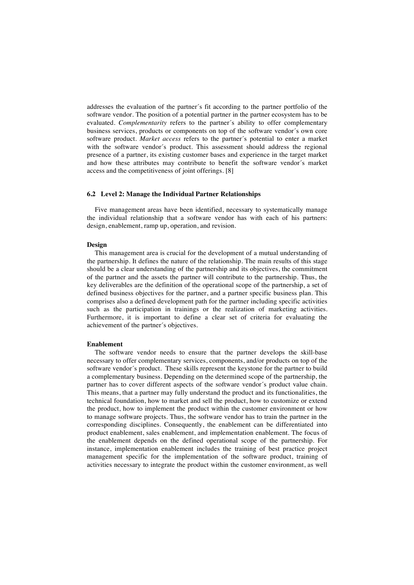addresses the evaluation of the partner´s fit according to the partner portfolio of the software vendor. The position of a potential partner in the partner ecosystem has to be evaluated. *Complementarity* refers to the partner´s ability to offer complementary business services, products or components on top of the software vendor´s own core software product. *Market access* refers to the partner´s potential to enter a market with the software vendor´s product. This assessment should address the regional presence of a partner, its existing customer bases and experience in the target market and how these attributes may contribute to benefit the software vendor´s market access and the competitiveness of joint offerings. [8]

#### **6.2 Level 2: Manage the Individual Partner Relationships**

Five management areas have been identified, necessary to systematically manage the individual relationship that a software vendor has with each of his partners: design, enablement, ramp up, operation, and revision.

#### **Design**

This management area is crucial for the development of a mutual understanding of the partnership. It defines the nature of the relationship. The main results of this stage should be a clear understanding of the partnership and its objectives, the commitment of the partner and the assets the partner will contribute to the partnership. Thus, the key deliverables are the definition of the operational scope of the partnership, a set of defined business objectives for the partner, and a partner specific business plan. This comprises also a defined development path for the partner including specific activities such as the participation in trainings or the realization of marketing activities. Furthermore, it is important to define a clear set of criteria for evaluating the achievement of the partner´s objectives.

#### **Enablement**

The software vendor needs to ensure that the partner develops the skill-base necessary to offer complementary services, components, and/or products on top of the software vendor´s product. These skills represent the keystone for the partner to build a complementary business. Depending on the determined scope of the partnership, the partner has to cover different aspects of the software vendor´s product value chain. This means, that a partner may fully understand the product and its functionalities, the technical foundation, how to market and sell the product, how to customize or extend the product, how to implement the product within the customer environment or how to manage software projects. Thus, the software vendor has to train the partner in the corresponding disciplines. Consequently, the enablement can be differentiated into product enablement, sales enablement, and implementation enablement. The focus of the enablement depends on the defined operational scope of the partnership. For instance, implementation enablement includes the training of best practice project management specific for the implementation of the software product, training of activities necessary to integrate the product within the customer environment, as well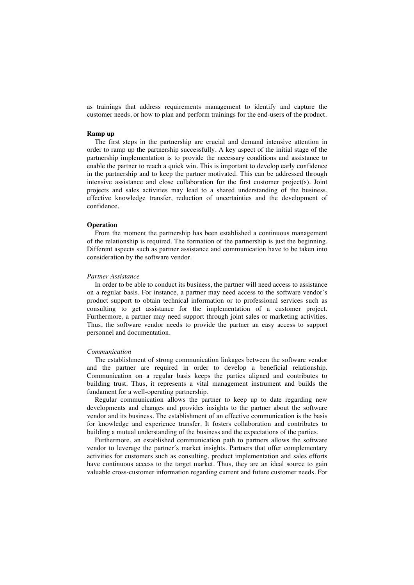as trainings that address requirements management to identify and capture the customer needs, or how to plan and perform trainings for the end-users of the product.

### **Ramp up**

The first steps in the partnership are crucial and demand intensive attention in order to ramp up the partnership successfully. A key aspect of the initial stage of the partnership implementation is to provide the necessary conditions and assistance to enable the partner to reach a quick win. This is important to develop early confidence in the partnership and to keep the partner motivated. This can be addressed through intensive assistance and close collaboration for the first customer project(s). Joint projects and sales activities may lead to a shared understanding of the business, effective knowledge transfer, reduction of uncertainties and the development of confidence.

#### **Operation**

From the moment the partnership has been established a continuous management of the relationship is required. The formation of the partnership is just the beginning. Different aspects such as partner assistance and communication have to be taken into consideration by the software vendor.

#### *Partner Assistance*

In order to be able to conduct its business, the partner will need access to assistance on a regular basis. For instance, a partner may need access to the software vendor´s product support to obtain technical information or to professional services such as consulting to get assistance for the implementation of a customer project. Furthermore, a partner may need support through joint sales or marketing activities. Thus, the software vendor needs to provide the partner an easy access to support personnel and documentation.

#### *Communication*

The establishment of strong communication linkages between the software vendor and the partner are required in order to develop a beneficial relationship. Communication on a regular basis keeps the parties aligned and contributes to building trust. Thus, it represents a vital management instrument and builds the fundament for a well-operating partnership.

Regular communication allows the partner to keep up to date regarding new developments and changes and provides insights to the partner about the software vendor and its business. The establishment of an effective communication is the basis for knowledge and experience transfer. It fosters collaboration and contributes to building a mutual understanding of the business and the expectations of the parties.

Furthermore, an established communication path to partners allows the software vendor to leverage the partner´s market insights. Partners that offer complementary activities for customers such as consulting, product implementation and sales efforts have continuous access to the target market. Thus, they are an ideal source to gain valuable cross-customer information regarding current and future customer needs. For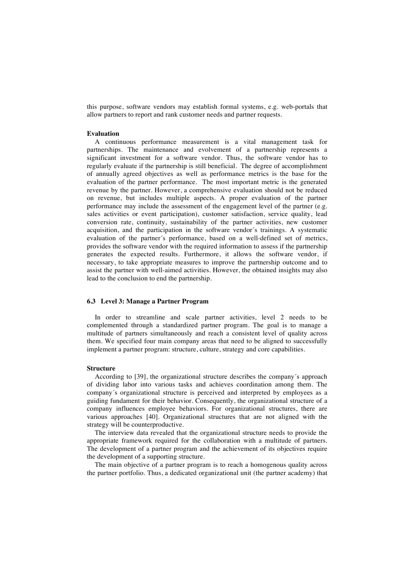this purpose, software vendors may establish formal systems, e.g. web-portals that allow partners to report and rank customer needs and partner requests.

### **Evaluation**

A continuous performance measurement is a vital management task for partnerships. The maintenance and evolvement of a partnership represents a significant investment for a software vendor. Thus, the software vendor has to regularly evaluate if the partnership is still beneficial. The degree of accomplishment of annually agreed objectives as well as performance metrics is the base for the evaluation of the partner performance. The most important metric is the generated revenue by the partner. However, a comprehensive evaluation should not be reduced on revenue, but includes multiple aspects. A proper evaluation of the partner performance may include the assessment of the engagement level of the partner (e.g. sales activities or event participation), customer satisfaction, service quality, lead conversion rate, continuity, sustainability of the partner activities, new customer acquisition, and the participation in the software vendor´s trainings. A systematic evaluation of the partner´s performance, based on a well-defined set of metrics, provides the software vendor with the required information to assess if the partnership generates the expected results. Furthermore, it allows the software vendor, if necessary, to take appropriate measures to improve the partnership outcome and to assist the partner with well-aimed activities. However, the obtained insights may also lead to the conclusion to end the partnership.

### **6.3 Level 3: Manage a Partner Program**

In order to streamline and scale partner activities, level 2 needs to be complemented through a standardized partner program. The goal is to manage a multitude of partners simultaneously and reach a consistent level of quality across them. We specified four main company areas that need to be aligned to successfully implement a partner program: structure, culture, strategy and core capabilities.

#### **Structure**

According to [39], the organizational structure describes the company´s approach of dividing labor into various tasks and achieves coordination among them. The company´s organizational structure is perceived and interpreted by employees as a guiding fundament for their behavior. Consequently, the organizational structure of a company influences employee behaviors. For organizational structures, there are various approaches [40]. Organizational structures that are not aligned with the strategy will be counterproductive.

The interview data revealed that the organizational structure needs to provide the appropriate framework required for the collaboration with a multitude of partners. The development of a partner program and the achievement of its objectives require the development of a supporting structure.

The main objective of a partner program is to reach a homogenous quality across the partner portfolio. Thus, a dedicated organizational unit (the partner academy) that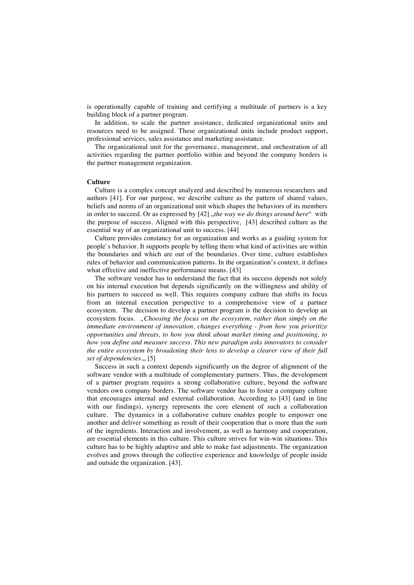is operationally capable of training and certifying a multitude of partners is a key building block of a partner program.

In addition, to scale the partner assistance, dedicated organizational units and resources need to be assigned. These organizational units include product support, professional services, sales assistance and marketing assistance.

The organizational unit for the governance, management, and orchestration of all activities regarding the partner portfolio within and beyond the company borders is the partner management organization.

#### **Culture**

Culture is a complex concept analyzed and described by numerous researchers and authors [41]. For our purpose, we describe culture as the pattern of shared values, beliefs and norms of an organizational unit which shapes the behaviors of its members in order to succeed. Or as expressed by [42] *"the way we do things around here*" with the purpose of success. Aligned with this perspective, [43] described culture as the essential way of an organizational unit to success. [44]

Culture provides constancy for an organization and works as a guiding system for people`s behavior. It supports people by telling them what kind of activities are within the boundaries and which are out of the boundaries. Over time, culture establishes rules of behavior and communication patterns. In the organization's context, it defines what effective and ineffective performance means. [43]

The software vendor has to understand the fact that its success depends not solely on his internal execution but depends significantly on the willingness and ability of his partners to succeed as well. This requires company culture that shifts its focus from an internal execution perspective to a comprehensive view of a partner ecosystem. The decision to develop a partner program is the decision to develop an ecosystem focus. *"Choosing the focus on the ecosystem, rather than simply on the immediate environment of innovation, changes everything - from how you prioritize opportunities and threats, to how you think about market timing and positioning, to how you define and measure success. This new paradigm asks innovators to consider the entire ecosystem by broadening their lens to develop a clearer view of their full set of dependencies.*, [5]

Success in such a context depends significantly on the degree of alignment of the software vendor with a multitude of complementary partners. Thus, the development of a partner program requires a strong collaborative culture, beyond the software vendors own company borders. The software vendor has to foster a company culture that encourages internal and external collaboration. According to [43] (and in line with our findings), synergy represents the core element of such a collaboration culture. The dynamics in a collaborative culture enables people to empower one another and deliver something as result of their cooperation that is more than the sum of the ingredients. Interaction and involvement, as well as harmony and cooperation, are essential elements in this culture. This culture strives for win-win situations. This culture has to be highly adaptive and able to make fast adjustments. The organization evolves and grows through the collective experience and knowledge of people inside and outside the organization. [43].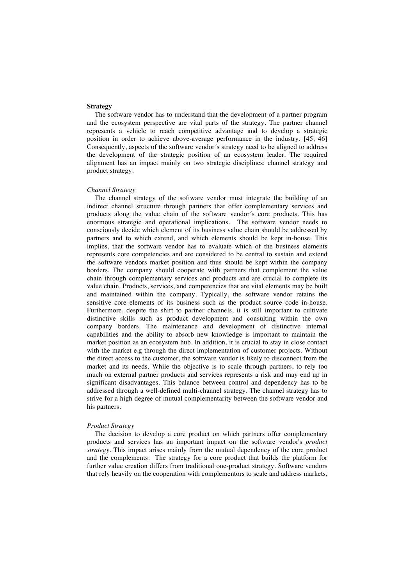#### **Strategy**

The software vendor has to understand that the development of a partner program and the ecosystem perspective are vital parts of the strategy. The partner channel represents a vehicle to reach competitive advantage and to develop a strategic position in order to achieve above-average performance in the industry. [45, 46] Consequently, aspects of the software vendor´s strategy need to be aligned to address the development of the strategic position of an ecosystem leader. The required alignment has an impact mainly on two strategic disciplines: channel strategy and product strategy.

#### *Channel Strategy*

The channel strategy of the software vendor must integrate the building of an indirect channel structure through partners that offer complementary services and products along the value chain of the software vendor´s core products. This has enormous strategic and operational implications. The software vendor needs to consciously decide which element of its business value chain should be addressed by partners and to which extend, and which elements should be kept in-house. This implies, that the software vendor has to evaluate which of the business elements represents core competencies and are considered to be central to sustain and extend the software vendors market position and thus should be kept within the company borders. The company should cooperate with partners that complement the value chain through complementary services and products and are crucial to complete its value chain. Products, services, and competencies that are vital elements may be built and maintained within the company. Typically, the software vendor retains the sensitive core elements of its business such as the product source code in-house. Furthermore, despite the shift to partner channels, it is still important to cultivate distinctive skills such as product development and consulting within the own company borders. The maintenance and development of distinctive internal capabilities and the ability to absorb new knowledge is important to maintain the market position as an ecosystem hub. In addition, it is crucial to stay in close contact with the market e.g through the direct implementation of customer projects. Without the direct access to the customer, the software vendor is likely to disconnect from the market and its needs. While the objective is to scale through partners, to rely too much on external partner products and services represents a risk and may end up in significant disadvantages. This balance between control and dependency has to be addressed through a well-defined multi-channel strategy. The channel strategy has to strive for a high degree of mutual complementarity between the software vendor and his partners.

#### *Product Strategy*

The decision to develop a core product on which partners offer complementary products and services has an important impact on the software vendor's *product strategy*. This impact arises mainly from the mutual dependency of the core product and the complements. The strategy for a core product that builds the platform for further value creation differs from traditional one-product strategy. Software vendors that rely heavily on the cooperation with complementors to scale and address markets,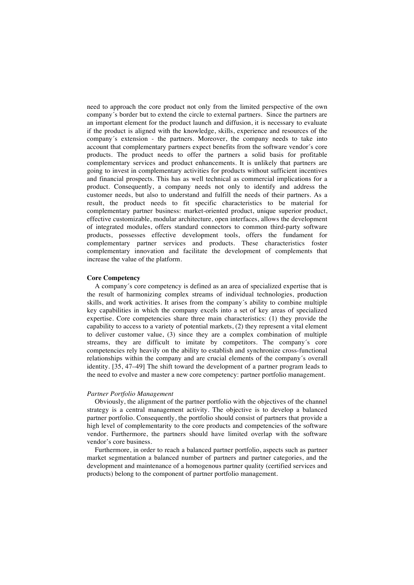need to approach the core product not only from the limited perspective of the own company´s border but to extend the circle to external partners. Since the partners are an important element for the product launch and diffusion, it is necessary to evaluate if the product is aligned with the knowledge, skills, experience and resources of the company´s extension - the partners. Moreover, the company needs to take into account that complementary partners expect benefits from the software vendor´s core products. The product needs to offer the partners a solid basis for profitable complementary services and product enhancements. It is unlikely that partners are going to invest in complementary activities for products without sufficient incentives and financial prospects. This has as well technical as commercial implications for a product. Consequently, a company needs not only to identify and address the customer needs, but also to understand and fulfill the needs of their partners. As a result, the product needs to fit specific characteristics to be material for complementary partner business: market-oriented product, unique superior product, effective customizable, modular architecture, open interfaces, allows the development of integrated modules, offers standard connectors to common third-party software products, possesses effective development tools, offers the fundament for complementary partner services and products. These characteristics foster complementary innovation and facilitate the development of complements that increase the value of the platform.

### **Core Competency**

A company´s core competency is defined as an area of specialized expertise that is the result of harmonizing complex streams of individual technologies, production skills, and work activities. It arises from the company´s ability to combine multiple key capabilities in which the company excels into a set of key areas of specialized expertise. Core competencies share three main characteristics: (1) they provide the capability to access to a variety of potential markets, (2) they represent a vital element to deliver customer value, (3) since they are a complex combination of multiple streams, they are difficult to imitate by competitors. The company´s core competencies rely heavily on the ability to establish and synchronize cross-functional relationships within the company and are crucial elements of the company´s overall identity. [35, 47–49] The shift toward the development of a partner program leads to the need to evolve and master a new core competency: partner portfolio management.

#### *Partner Portfolio Management*

Obviously, the alignment of the partner portfolio with the objectives of the channel strategy is a central management activity. The objective is to develop a balanced partner portfolio. Consequently, the portfolio should consist of partners that provide a high level of complementarity to the core products and competencies of the software vendor. Furthermore, the partners should have limited overlap with the software vendor's core business.

Furthermore, in order to reach a balanced partner portfolio, aspects such as partner market segmentation a balanced number of partners and partner categories, and the development and maintenance of a homogenous partner quality (certified services and products) belong to the component of partner portfolio management.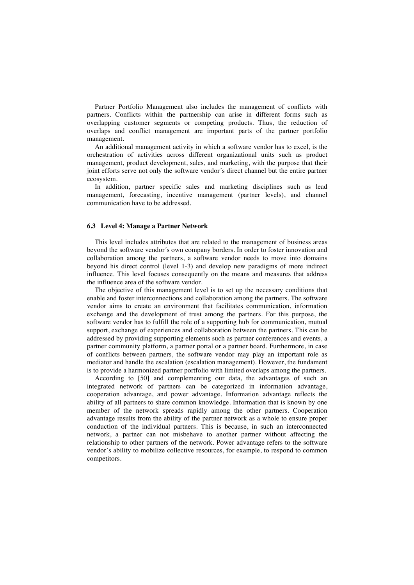Partner Portfolio Management also includes the management of conflicts with partners. Conflicts within the partnership can arise in different forms such as overlapping customer segments or competing products. Thus, the reduction of overlaps and conflict management are important parts of the partner portfolio management.

An additional management activity in which a software vendor has to excel, is the orchestration of activities across different organizational units such as product management, product development, sales, and marketing, with the purpose that their joint efforts serve not only the software vendor´s direct channel but the entire partner ecosystem.

In addition, partner specific sales and marketing disciplines such as lead management, forecasting, incentive management (partner levels), and channel communication have to be addressed.

### **6.3 Level 4: Manage a Partner Network**

This level includes attributes that are related to the management of business areas beyond the software vendor´s own company borders. In order to foster innovation and collaboration among the partners, a software vendor needs to move into domains beyond his direct control (level 1-3) and develop new paradigms of more indirect influence. This level focuses consequently on the means and measures that address the influence area of the software vendor.

The objective of this management level is to set up the necessary conditions that enable and foster interconnections and collaboration among the partners. The software vendor aims to create an environment that facilitates communication, information exchange and the development of trust among the partners. For this purpose, the software vendor has to fulfill the role of a supporting hub for communication, mutual support, exchange of experiences and collaboration between the partners. This can be addressed by providing supporting elements such as partner conferences and events, a partner community platform, a partner portal or a partner board. Furthermore, in case of conflicts between partners, the software vendor may play an important role as mediator and handle the escalation (escalation management). However, the fundament is to provide a harmonized partner portfolio with limited overlaps among the partners.

According to [50] and complementing our data, the advantages of such an integrated network of partners can be categorized in information advantage, cooperation advantage, and power advantage. Information advantage reflects the ability of all partners to share common knowledge. Information that is known by one member of the network spreads rapidly among the other partners. Cooperation advantage results from the ability of the partner network as a whole to ensure proper conduction of the individual partners. This is because, in such an interconnected network, a partner can not misbehave to another partner without affecting the relationship to other partners of the network. Power advantage refers to the software vendor's ability to mobilize collective resources, for example, to respond to common competitors.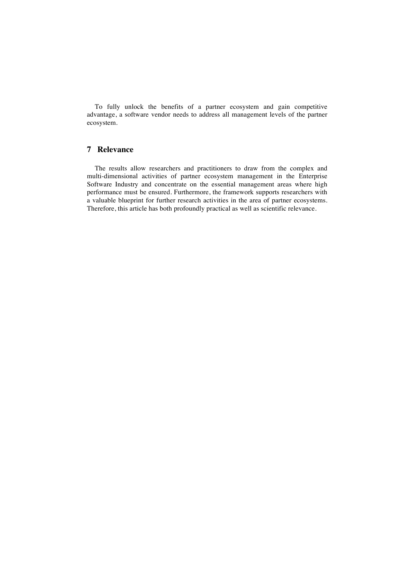To fully unlock the benefits of a partner ecosystem and gain competitive advantage, a software vendor needs to address all management levels of the partner ecosystem.

# **7 Relevance**

The results allow researchers and practitioners to draw from the complex and multi-dimensional activities of partner ecosystem management in the Enterprise Software Industry and concentrate on the essential management areas where high performance must be ensured. Furthermore, the framework supports researchers with a valuable blueprint for further research activities in the area of partner ecosystems. Therefore, this article has both profoundly practical as well as scientific relevance.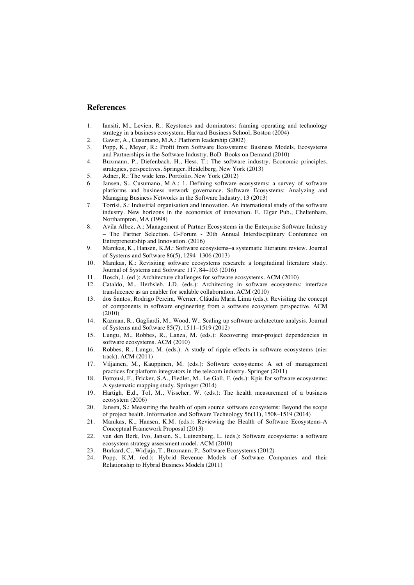# **References**

- 1. Iansiti, M., Levien, R.: Keystones and dominators: framing operating and technology strategy in a business ecosystem. Harvard Business School, Boston (2004)
- 2. Gawer, A., Cusumano, M.A.: Platform leadership (2002)
- 3. Popp, K., Meyer, R.: Profit from Software Ecosystems: Business Models, Ecosystems and Partnerships in the Software Industry. BoD–Books on Demand (2010)
- 4. Buxmann, P., Diefenbach, H., Hess, T.: The software industry. Economic principles, strategies, perspectives. Springer, Heidelberg, New York (2013)
- 5. Adner, R.: The wide lens. Portfolio, New York (2012)
- 6. Jansen, S., Cusumano, M.A.: 1. Defining software ecosystems: a survey of software platforms and business network governance. Software Ecosystems: Analyzing and Managing Business Networks in the Software Industry, 13 (2013)
- 7. Torrisi, S.: Industrial organisation and innovation. An international study of the software industry. New horizons in the economics of innovation. E. Elgar Pub., Cheltenham, Northampton, MA (1998)
- 8. Avila Albez, A.: Management of Partner Ecosystems in the Enterprise Software Industry – The Partner Selection. G-Forum - 20th Annual Interdisciplinary Conference on Entrepreneurship and Innovation. (2016)
- 9. Manikas, K., Hansen, K.M.: Software ecosystems–a systematic literature review. Journal of Systems and Software 86(5), 1294–1306 (2013)
- 10. Manikas, K.: Revisiting software ecosystems research: a longitudinal literature study. Journal of Systems and Software 117, 84–103 (2016)
- 11. Bosch, J. (ed.): Architecture challenges for software ecosystems. ACM (2010)
- 12. Cataldo, M., Herbsleb, J.D. (eds.): Architecting in software ecosystems: interface translucence as an enabler for scalable collaboration. ACM (2010)
- 13. dos Santos, Rodrigo Pereira, Werner, Cláudia Maria Lima (eds.): Revisiting the concept of components in software engineering from a software ecosystem perspective. ACM (2010)
- 14. Kazman, R., Gagliardi, M., Wood, W.: Scaling up software architecture analysis. Journal of Systems and Software 85(7), 1511–1519 (2012)
- 15. Lungu, M., Robbes, R., Lanza, M. (eds.): Recovering inter-project dependencies in software ecosystems. ACM (2010)
- 16. Robbes, R., Lungu, M. (eds.): A study of ripple effects in software ecosystems (nier track). ACM (2011)
- 17. Viljainen, M., Kauppinen, M. (eds.): Software ecosystems: A set of management practices for platform integrators in the telecom industry. Springer (2011)
- 18. Fotrousi, F., Fricker, S.A., Fiedler, M., Le-Gall, F. (eds.): Kpis for software ecosystems: A systematic mapping study. Springer (2014)
- 19. Hartigh, E.d., Tol, M., Visscher, W. (eds.): The health measurement of a business ecosystem (2006)
- 20. Jansen, S.: Measuring the health of open source software ecosystems: Beyond the scope of project health. Information and Software Technology 56(11), 1508–1519 (2014)
- 21. Manikas, K., Hansen, K.M. (eds.): Reviewing the Health of Software Ecosystems-A Conceptual Framework Proposal (2013)
- 22. van den Berk, Ivo, Jansen, S., Luinenburg, L. (eds.): Software ecosystems: a software ecosystem strategy assessment model. ACM (2010)
- 23. Burkard, C., Widjaja, T., Buxmann, P.: Software Ecosystems (2012)
- 24. Popp, K.M. (ed.): Hybrid Revenue Models of Software Companies and their Relationship to Hybrid Business Models (2011)